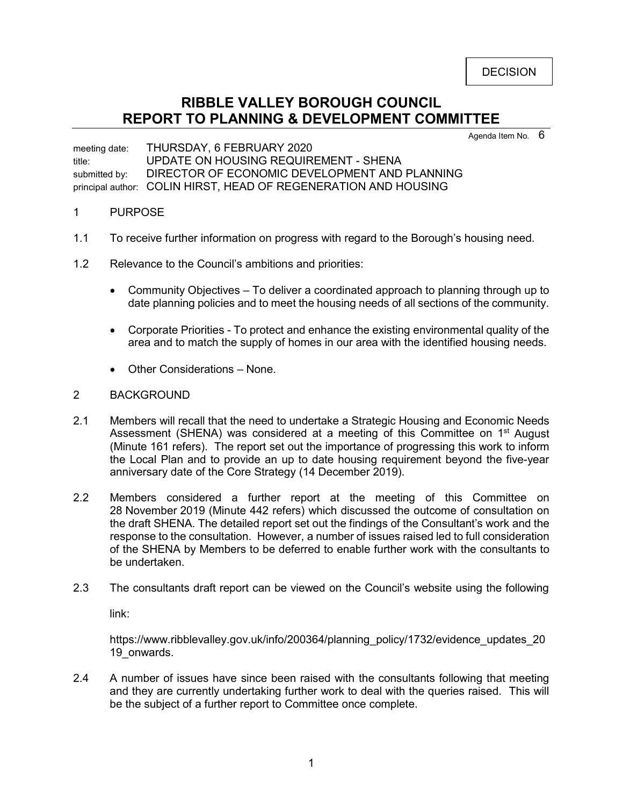# **RIBBLE VALLEY BOROUGH COUNCIL REPORT TO PLANNING & DEVELOPMENT COMMITTEE**

Agenda Item No.  $6$ 

meeting date: THURSDAY, 6 FEBRUARY 2020 title: UPDATE ON HOUSING REQUIREMENT - SHENA submitted by: DIRECTOR OF ECONOMIC DEVELOPMENT AND PLANNING principal author: COLIN HIRST, HEAD OF REGENERATION AND HOUSING

## 1 PURPOSE

- 1.1 To receive further information on progress with regard to the Borough's housing need.
- 1.2 Relevance to the Council's ambitions and priorities:
	- Community Objectives To deliver a coordinated approach to planning through up to date planning policies and to meet the housing needs of all sections of the community.
	- Corporate Priorities To protect and enhance the existing environmental quality of the area and to match the supply of homes in our area with the identified housing needs.
	- Other Considerations None.

## 2 BACKGROUND

- 2.1 Members will recall that the need to undertake a Strategic Housing and Economic Needs Assessment (SHENA) was considered at a meeting of this Committee on  $1<sup>st</sup>$  August (Minute 161 refers). The report set out the importance of progressing this work to inform the Local Plan and to provide an up to date housing requirement beyond the five-year anniversary date of the Core Strategy (14 December 2019).
- 2.2 Members considered a further report at the meeting of this Committee on 28 November 2019 (Minute 442 refers) which discussed the outcome of consultation on the draft SHENA. The detailed report set out the findings of the Consultant's work and the response to the consultation. However, a number of issues raised led to full consideration of the SHENA by Members to be deferred to enable further work with the consultants to be undertaken.
- 2.3 The consultants draft report can be viewed on the Council's website using the following

link:

https://www.ribblevalley.gov.uk/info/200364/planning\_policy/1732/evidence\_updates\_20 19 onwards.

2.4 A number of issues have since been raised with the consultants following that meeting and they are currently undertaking further work to deal with the queries raised. This will be the subject of a further report to Committee once complete.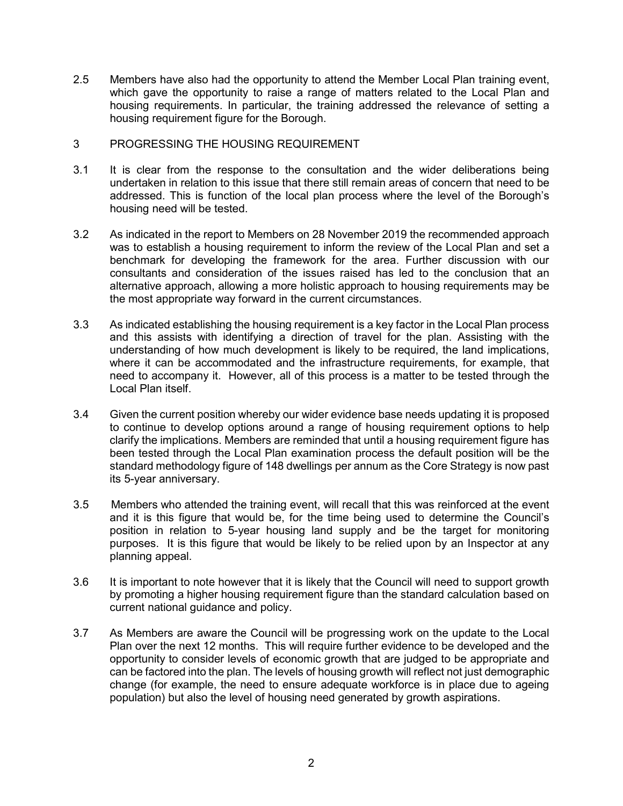- 2.5 Members have also had the opportunity to attend the Member Local Plan training event, which gave the opportunity to raise a range of matters related to the Local Plan and housing requirements. In particular, the training addressed the relevance of setting a housing requirement figure for the Borough.
- 3 PROGRESSING THE HOUSING REQUIREMENT
- 3.1 It is clear from the response to the consultation and the wider deliberations being undertaken in relation to this issue that there still remain areas of concern that need to be addressed. This is function of the local plan process where the level of the Borough's housing need will be tested.
- 3.2 As indicated in the report to Members on 28 November 2019 the recommended approach was to establish a housing requirement to inform the review of the Local Plan and set a benchmark for developing the framework for the area. Further discussion with our consultants and consideration of the issues raised has led to the conclusion that an alternative approach, allowing a more holistic approach to housing requirements may be the most appropriate way forward in the current circumstances.
- 3.3 As indicated establishing the housing requirement is a key factor in the Local Plan process and this assists with identifying a direction of travel for the plan. Assisting with the understanding of how much development is likely to be required, the land implications, where it can be accommodated and the infrastructure requirements, for example, that need to accompany it. However, all of this process is a matter to be tested through the Local Plan itself.
- 3.4 Given the current position whereby our wider evidence base needs updating it is proposed to continue to develop options around a range of housing requirement options to help clarify the implications. Members are reminded that until a housing requirement figure has been tested through the Local Plan examination process the default position will be the standard methodology figure of 148 dwellings per annum as the Core Strategy is now past its 5-year anniversary.
- 3.5 Members who attended the training event, will recall that this was reinforced at the event and it is this figure that would be, for the time being used to determine the Council's position in relation to 5-year housing land supply and be the target for monitoring purposes. It is this figure that would be likely to be relied upon by an Inspector at any planning appeal.
- 3.6 It is important to note however that it is likely that the Council will need to support growth by promoting a higher housing requirement figure than the standard calculation based on current national guidance and policy.
- 3.7 As Members are aware the Council will be progressing work on the update to the Local Plan over the next 12 months. This will require further evidence to be developed and the opportunity to consider levels of economic growth that are judged to be appropriate and can be factored into the plan. The levels of housing growth will reflect not just demographic change (for example, the need to ensure adequate workforce is in place due to ageing population) but also the level of housing need generated by growth aspirations.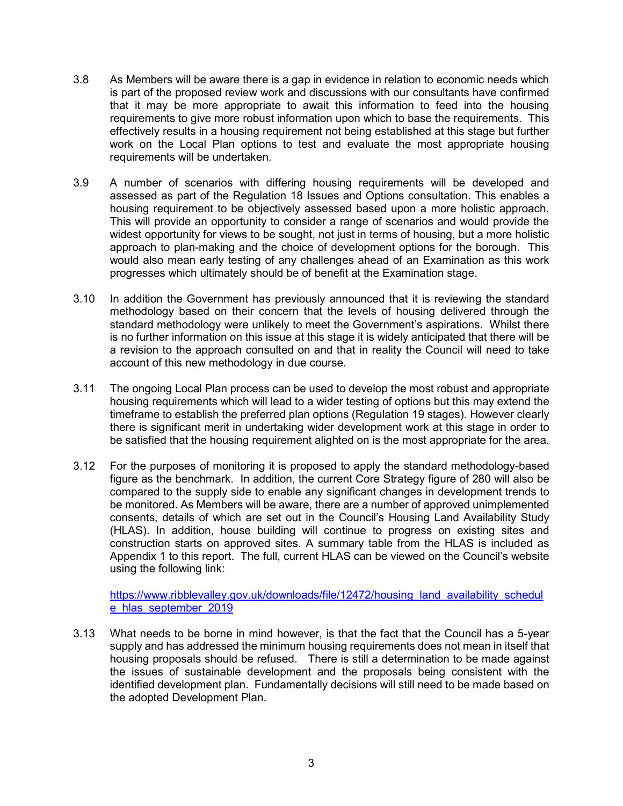- 3.8 As Members will be aware there is a gap in evidence in relation to economic needs which is part of the proposed review work and discussions with our consultants have confirmed that it may be more appropriate to await this information to feed into the housing requirements to give more robust information upon which to base the requirements. This effectively results in a housing requirement not being established at this stage but further work on the Local Plan options to test and evaluate the most appropriate housing requirements will be undertaken.
- 3.9 A number of scenarios with differing housing requirements will be developed and assessed as part of the Regulation 18 Issues and Options consultation. This enables a housing requirement to be objectively assessed based upon a more holistic approach. This will provide an opportunity to consider a range of scenarios and would provide the widest opportunity for views to be sought, not just in terms of housing, but a more holistic approach to plan-making and the choice of development options for the borough. This would also mean early testing of any challenges ahead of an Examination as this work progresses which ultimately should be of benefit at the Examination stage.
- 3.10 In addition the Government has previously announced that it is reviewing the standard methodology based on their concern that the levels of housing delivered through the standard methodology were unlikely to meet the Government's aspirations. Whilst there is no further information on this issue at this stage it is widely anticipated that there will be a revision to the approach consulted on and that in reality the Council will need to take account of this new methodology in due course.
- 3.11 The ongoing Local Plan process can be used to develop the most robust and appropriate housing requirements which will lead to a wider testing of options but this may extend the timeframe to establish the preferred plan options (Regulation 19 stages). However clearly there is significant merit in undertaking wider development work at this stage in order to be satisfied that the housing requirement alighted on is the most appropriate for the area.
- 3.12 For the purposes of monitoring it is proposed to apply the standard methodology-based figure as the benchmark. In addition, the current Core Strategy figure of 280 will also be compared to the supply side to enable any significant changes in development trends to be monitored. As Members will be aware, there are a number of approved unimplemented consents, details of which are set out in the Council's Housing Land Availability Study (HLAS). In addition, house building will continue to progress on existing sites and construction starts on approved sites. A summary table from the HLAS is included as Appendix 1 to this report. The full, current HLAS can be viewed on the Council's website using the following link:

[https://www.ribblevalley.gov.uk/downloads/file/12472/housing\\_land\\_availability\\_schedul](https://www.ribblevalley.gov.uk/downloads/file/12472/housing_land_availability_schedule_hlas_september_2019) [e\\_hlas\\_september\\_2019](https://www.ribblevalley.gov.uk/downloads/file/12472/housing_land_availability_schedule_hlas_september_2019)

3.13 What needs to be borne in mind however, is that the fact that the Council has a 5-year supply and has addressed the minimum housing requirements does not mean in itself that housing proposals should be refused. There is still a determination to be made against the issues of sustainable development and the proposals being consistent with the identified development plan. Fundamentally decisions will still need to be made based on the adopted Development Plan.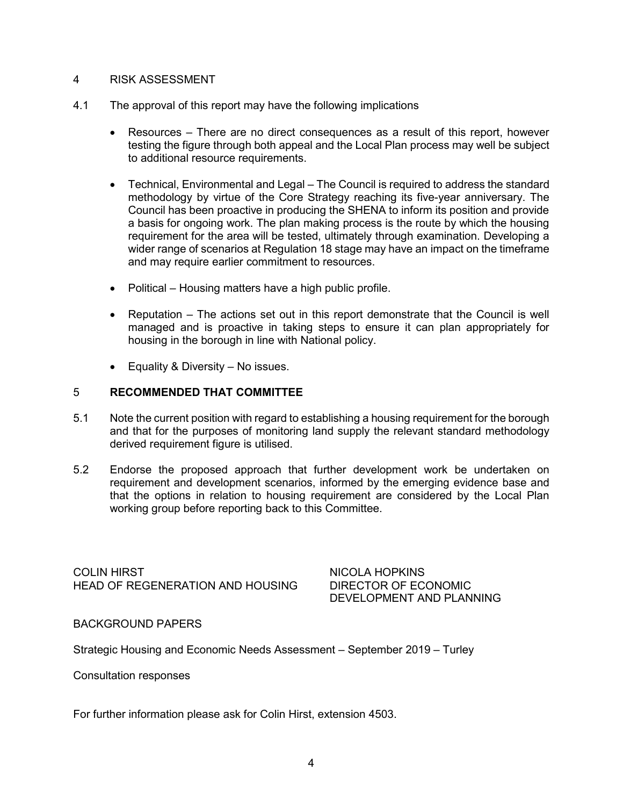# 4 RISK ASSESSMENT

- 4.1 The approval of this report may have the following implications
	- Resources There are no direct consequences as a result of this report, however testing the figure through both appeal and the Local Plan process may well be subject to additional resource requirements.
	- Technical, Environmental and Legal The Council is required to address the standard methodology by virtue of the Core Strategy reaching its five-year anniversary. The Council has been proactive in producing the SHENA to inform its position and provide a basis for ongoing work. The plan making process is the route by which the housing requirement for the area will be tested, ultimately through examination. Developing a wider range of scenarios at Regulation 18 stage may have an impact on the timeframe and may require earlier commitment to resources.
	- Political Housing matters have a high public profile.
	- Reputation The actions set out in this report demonstrate that the Council is well managed and is proactive in taking steps to ensure it can plan appropriately for housing in the borough in line with National policy.
	- Equality & Diversity No issues.

## 5 **RECOMMENDED THAT COMMITTEE**

- 5.1 Note the current position with regard to establishing a housing requirement for the borough and that for the purposes of monitoring land supply the relevant standard methodology derived requirement figure is utilised.
- 5.2 Endorse the proposed approach that further development work be undertaken on requirement and development scenarios, informed by the emerging evidence base and that the options in relation to housing requirement are considered by the Local Plan working group before reporting back to this Committee.

COLIN HIRST NICOLA HOPKINS HEAD OF REGENERATION AND HOUSING DIRECTOR OF ECONOMIC

DEVELOPMENT AND PLANNING

BACKGROUND PAPERS

Strategic Housing and Economic Needs Assessment – September 2019 – Turley

Consultation responses

For further information please ask for Colin Hirst, extension 4503.